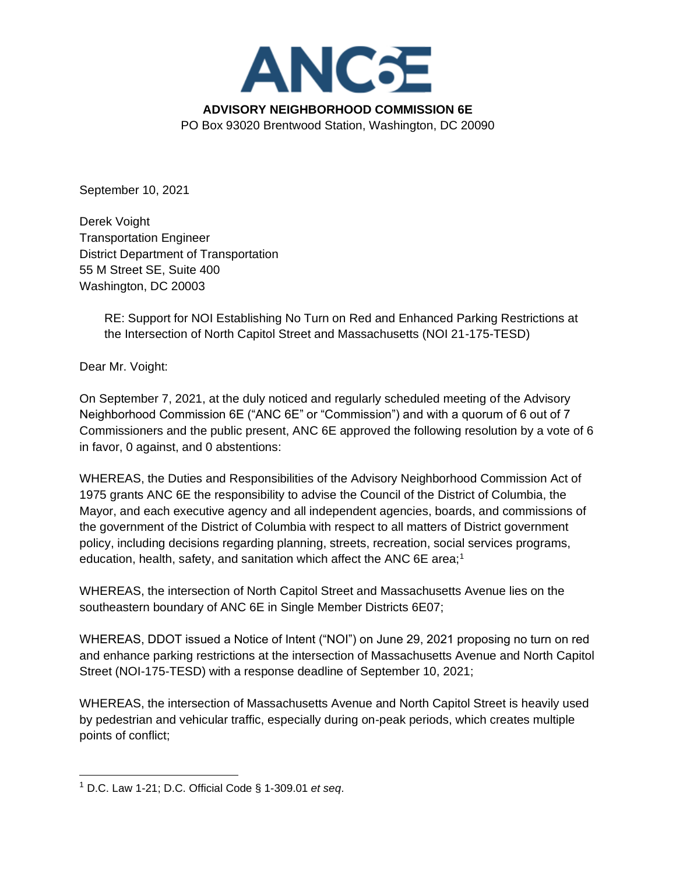

September 10, 2021

Derek Voight Transportation Engineer District Department of Transportation 55 M Street SE, Suite 400 Washington, DC 20003

> RE: Support for NOI Establishing No Turn on Red and Enhanced Parking Restrictions at the Intersection of North Capitol Street and Massachusetts (NOI 21-175-TESD)

Dear Mr. Voight:

On September 7, 2021, at the duly noticed and regularly scheduled meeting of the Advisory Neighborhood Commission 6E ("ANC 6E" or "Commission") and with a quorum of 6 out of 7 Commissioners and the public present, ANC 6E approved the following resolution by a vote of 6 in favor, 0 against, and 0 abstentions:

WHEREAS, the Duties and Responsibilities of the Advisory Neighborhood Commission Act of 1975 grants ANC 6E the responsibility to advise the Council of the District of Columbia, the Mayor, and each executive agency and all independent agencies, boards, and commissions of the government of the District of Columbia with respect to all matters of District government policy, including decisions regarding planning, streets, recreation, social services programs, education, health, safety, and sanitation which affect the ANC 6E area;<sup>1</sup>

WHEREAS, the intersection of North Capitol Street and Massachusetts Avenue lies on the southeastern boundary of ANC 6E in Single Member Districts 6E07;

WHEREAS, DDOT issued a Notice of Intent ("NOI") on June 29, 2021 proposing no turn on red and enhance parking restrictions at the intersection of Massachusetts Avenue and North Capitol Street (NOI-175-TESD) with a response deadline of September 10, 2021;

WHEREAS, the intersection of Massachusetts Avenue and North Capitol Street is heavily used by pedestrian and vehicular traffic, especially during on-peak periods, which creates multiple points of conflict;

<sup>1</sup> D.C. Law 1-21; D.C. Official Code § 1-309.01 *et seq*.